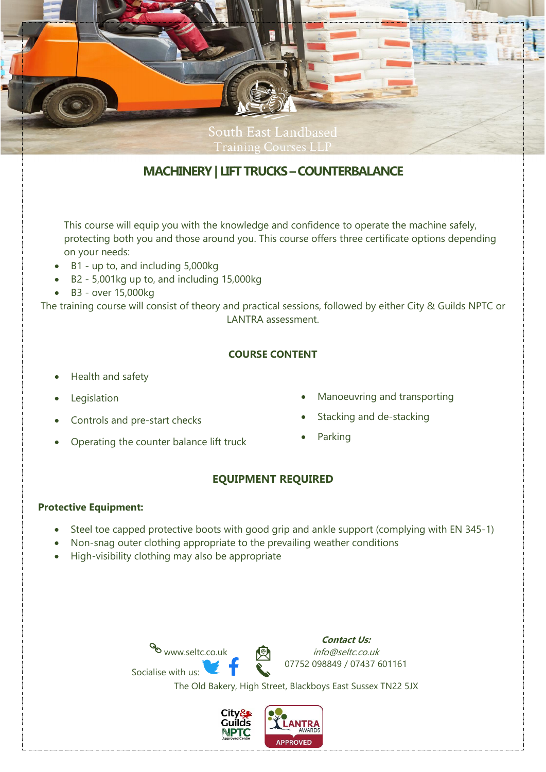

# **MACHINERY| LIFT TRUCKS –COUNTERBALANCE**

This course will equip you with the knowledge and confidence to operate the machine safely, protecting both you and those around you. This course offers three certificate options depending on your needs:

- B1 up to, and including 5,000kg
- B2 5,001kg up to, and including 15,000kg
- B3 over 15,000kg

The training course will consist of theory and practical sessions, followed by either City & Guilds NPTC or LANTRA assessment.

## **COURSE CONTENT**

- Health and safety
- **Legislation**
- Controls and pre-start checks
- Operating the counter balance lift truck
- Manoeuvring and transporting
- Stacking and de-stacking
- **Parking**

# **EQUIPMENT REQUIRED**

#### **Protective Equipment:**

- Steel toe capped protective boots with good grip and ankle support (complying with EN 345-1)
- Non-snag outer clothing appropriate to the prevailing weather conditions
- High-visibility clothing may also be appropriate